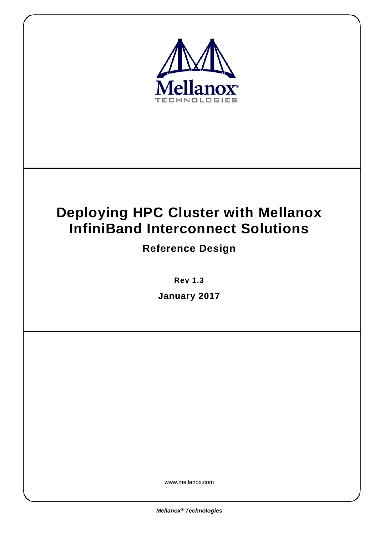

www.mellanox.com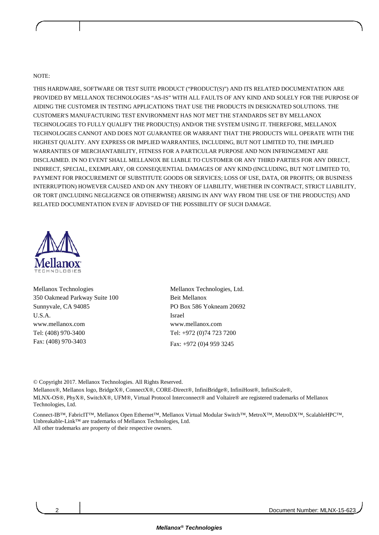#### NOTE:

THIS HARDWARE, SOFTWARE OR TEST SUITE PRODUCT ("PRODUCT(S)") AND ITS RELATED DOCUMENTATION ARE PROVIDED BY MELLANOX TECHNOLOGIES "AS-IS" WITH ALL FAULTS OF ANY KIND AND SOLELY FOR THE PURPOSE OF AIDING THE CUSTOMER IN TESTING APPLICATIONS THAT USE THE PRODUCTS IN DESIGNATED SOLUTIONS. THE CUSTOMER'S MANUFACTURING TEST ENVIRONMENT HAS NOT MET THE STANDARDS SET BY MELLANOX TECHNOLOGIES TO FULLY QUALIFY THE PRODUCT(S) AND/OR THE SYSTEM USING IT. THEREFORE, MELLANOX TECHNOLOGIES CANNOT AND DOES NOT GUARANTEE OR WARRANT THAT THE PRODUCTS WILL OPERATE WITH THE HIGHEST QUALITY. ANY EXPRESS OR IMPLIED WARRANTIES, INCLUDING, BUT NOT LIMITED TO, THE IMPLIED WARRANTIES OF MERCHANTABILITY, FITNESS FOR A PARTICULAR PURPOSE AND NON INFRINGEMENT ARE DISCLAIMED. IN NO EVENT SHALL MELLANOX BE LIABLE TO CUSTOMER OR ANY THIRD PARTIES FOR ANY DIRECT, INDIRECT, SPECIAL, EXEMPLARY, OR CONSEQUENTIAL DAMAGES OF ANY KIND (INCLUDING, BUT NOT LIMITED TO, PAYMENT FOR PROCUREMENT OF SUBSTITUTE GOODS OR SERVICES; LOSS OF USE, DATA, OR PROFITS; OR BUSINESS INTERRUPTION) HOWEVER CAUSED AND ON ANY THEORY OF LIABILITY, WHETHER IN CONTRACT, STRICT LIABILITY, OR TORT (INCLUDING NEGLIGENCE OR OTHERWISE) ARISING IN ANY WAY FROM THE USE OF THE PRODUCT(S) AND RELATED DOCUMENTATION EVEN IF ADVISED OF THE POSSIBILITY OF SUCH DAMAGE.



Mellanox Technologies 350 Oakmead Parkway Suite 100 Sunnyvale, CA 94085 U.S.A. www.mellanox.com Tel: (408) 970-3400 Fax: (408) 970-3403

Mellanox Technologies, Ltd. Beit Mellanox PO Box 586 Yokneam 20692 Israel www.mellanox.com Tel: +972 (0)74 723 7200 Fax: +972 (0)4 959 3245

© Copyright 2017. Mellanox Technologies. All Rights Reserved.

Mellanox®, Mellanox logo, BridgeX®, ConnectX®, CORE-Direct®, InfiniBridge®, InfiniHost®, InfiniScale®, MLNX-OS®, PhyX®, SwitchX®, UFM®, Virtual Protocol Interconnect® and Voltaire® are registered trademarks of Mellanox Technologies, Ltd.

Connect-IB™, FabricIT™, Mellanox Open Ethernet™, Mellanox Virtual Modular Switch™, MetroX™, MetroDX™, ScalableHPC™, Unbreakable-Link™ are trademarks of Mellanox Technologies, Ltd. All other trademarks are property of their respective owners.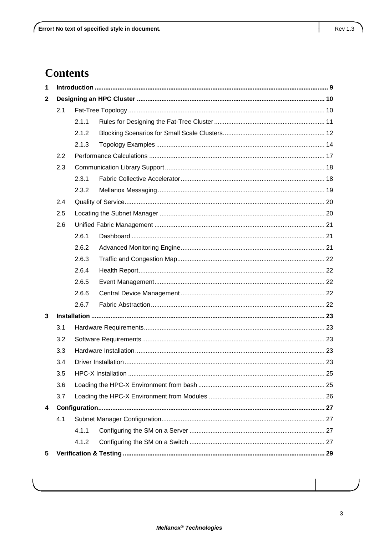# **Contents**

| 1            |     |       |  |  |
|--------------|-----|-------|--|--|
| $\mathbf{2}$ |     |       |  |  |
|              | 2.1 |       |  |  |
|              |     | 2.1.1 |  |  |
|              |     | 2.1.2 |  |  |
|              |     | 2.1.3 |  |  |
|              | 2.2 |       |  |  |
|              | 2.3 |       |  |  |
|              |     | 2.3.1 |  |  |
|              |     | 2.3.2 |  |  |
|              | 2.4 |       |  |  |
|              | 2.5 |       |  |  |
|              | 2.6 |       |  |  |
|              |     | 2.6.1 |  |  |
|              |     | 2.6.2 |  |  |
|              |     | 2.6.3 |  |  |
|              |     | 2.6.4 |  |  |
|              |     | 2.6.5 |  |  |
|              |     | 2.6.6 |  |  |
|              |     | 2.6.7 |  |  |
| 3            |     |       |  |  |
|              | 3.1 |       |  |  |
|              | 3.2 |       |  |  |
|              | 3.3 |       |  |  |
|              | 3.4 |       |  |  |
|              | 3.5 |       |  |  |
|              | 3.6 |       |  |  |
|              | 3.7 |       |  |  |
| 4            |     |       |  |  |
|              | 4.1 |       |  |  |
|              |     | 4.1.1 |  |  |
|              |     | 4.1.2 |  |  |
| 5            |     |       |  |  |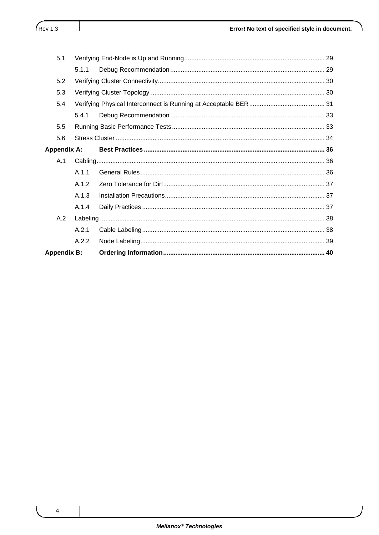J

| 5.1                |       |  |  |
|--------------------|-------|--|--|
|                    | 5.1.1 |  |  |
| 5.2                |       |  |  |
| 5.3                |       |  |  |
| 5.4                |       |  |  |
|                    | 5.4.1 |  |  |
| 5.5                |       |  |  |
| 5.6                |       |  |  |
| <b>Appendix A:</b> |       |  |  |
| A.1                |       |  |  |
|                    | A.1.1 |  |  |
|                    | A.1.2 |  |  |
|                    | A.1.3 |  |  |
|                    | A.1.4 |  |  |
| A.2                |       |  |  |
|                    | A.2.1 |  |  |
|                    | A.2.2 |  |  |
| <b>Appendix B:</b> |       |  |  |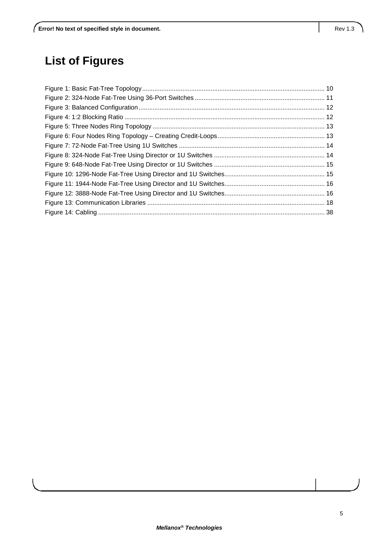# **List of Figures**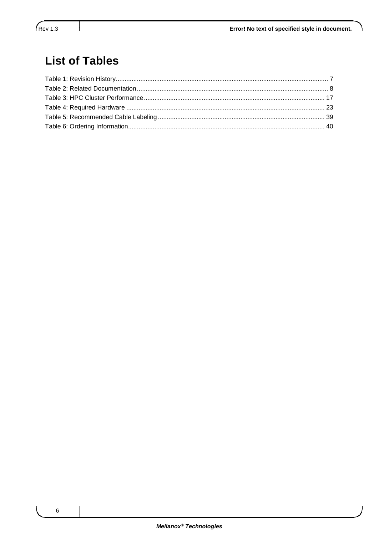ľ

# **List of Tables**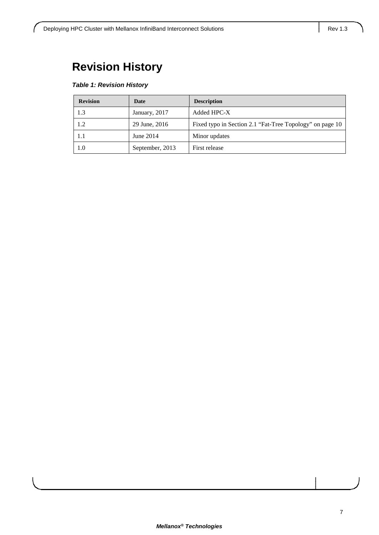# **Revision History**

### <span id="page-6-0"></span>*Table 1: Revision History*

| <b>Revision</b> | Date            | <b>Description</b>                                       |
|-----------------|-----------------|----------------------------------------------------------|
| 1.3             | January, 2017   | Added HPC-X                                              |
| 1.2             | 29 June, 2016   | Fixed typo in Section 2.1 "Fat-Tree Topology" on page 10 |
| 1.1             | June $2014$     | Minor updates                                            |
| 1.0             | September, 2013 | First release                                            |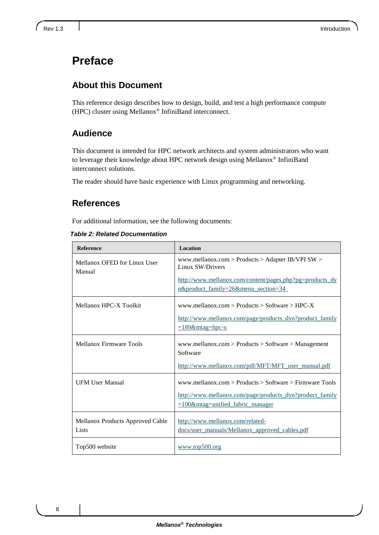# **Preface**

### **About this Document**

This reference design describes how to design, build, and test a high performance compute (HPC) cluster using Mellanox® InfiniBand interconnect.

# **Audience**

This document is intended for HPC network architects and system administrators who want to leverage their knowledge about HPC network design using Mellanox® InfiniBand interconnect solutions.

The reader should have basic experience with Linux programming and networking.

### **References**

For additional information, see the following documents:

<span id="page-7-0"></span>*Table 2: Related Documentation*

| Reference                                 | Location                                                                                        |
|-------------------------------------------|-------------------------------------------------------------------------------------------------|
| Mellanox OFED for Linux User<br>Manual    | www.mellanox.com > Products > Adapter IB/VPI SW ><br>Linux SW/Drivers                           |
|                                           | http://www.mellanox.com/content/pages.php?pg=products_dy<br>n&product_family=26&menu_section=34 |
| Mellanox HPC-X Toolkit                    | www.mellanox.com > Products > Software > HPC-X                                                  |
|                                           | http://www.mellanox.com/page/products_dyn?product_family<br>$=189$ &mtag=hpc-x                  |
| Mellanox Firmware Tools                   | $www.mellanox.com > Products > Software > Management$<br>Software                               |
|                                           | http://www.mellanox.com/pdf/MFT/MFT_user_manual.pdf                                             |
| <b>UFM User Manual</b>                    | www.mellanox.com > Products > Software > Firmware Tools                                         |
|                                           | http://www.mellanox.com/page/products_dyn?product_family<br>$=100$ &mtag=unified fabric manager |
| Mellanox Products Approved Cable<br>Lists | http://www.mellanox.com/related-<br>docs/user_manuals/Mellanox_approved_cables.pdf              |
| Top500 website                            | www.top500.org                                                                                  |

8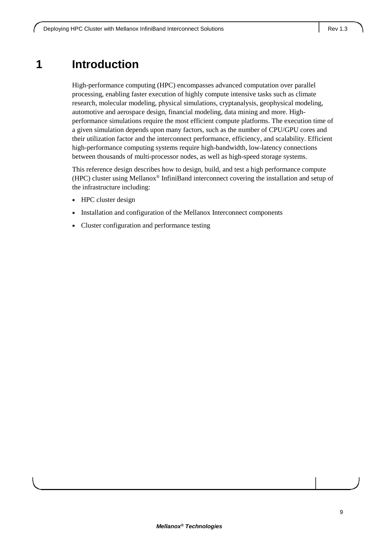# <span id="page-8-0"></span>**1 Introduction**

High-performance computing (HPC) encompasses advanced computation over parallel processing, enabling faster execution of highly compute intensive tasks such as climate research, molecular modeling, physical simulations, cryptanalysis, geophysical modeling, automotive and aerospace design, financial modeling, data mining and more. Highperformance simulations require the most efficient compute platforms. The execution time of a given simulation depends upon many factors, such as the number of CPU/GPU cores and their utilization factor and the interconnect performance, efficiency, and scalability. Efficient high-performance computing systems require high-bandwidth, low-latency connections between thousands of multi-processor nodes, as well as high-speed storage systems.

This reference design describes how to design, build, and test a high performance compute (HPC) cluster using Mellanox® InfiniBand interconnect covering the installation and setup of the infrastructure including:

- HPC cluster design
- Installation and configuration of the Mellanox Interconnect components
- Cluster configuration and performance testing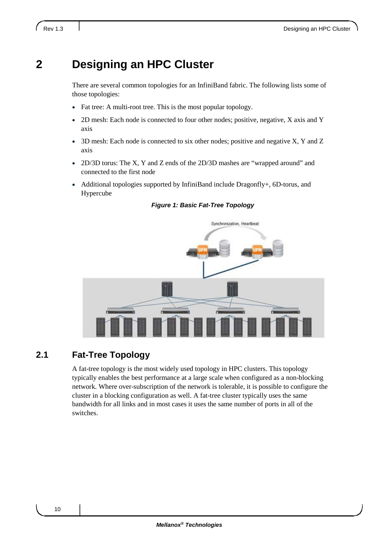# <span id="page-9-0"></span>**2 Designing an HPC Cluster**

There are several common topologies for an InfiniBand fabric. The following lists some of those topologies:

- Fat tree: A multi-root tree. This is the most popular topology.
- 2D mesh: Each node is connected to four other nodes; positive, negative, X axis and Y axis
- 3D mesh: Each node is connected to six other nodes; positive and negative X, Y and Z axis
- 2D/3D torus: The X, Y and Z ends of the 2D/3D mashes are "wrapped around" and connected to the first node
- Additional topologies supported by InfiniBand include Dragonfly+, 6D-torus, and Hypercube

<span id="page-9-2"></span>*Figure 1: Basic Fat-Tree Topology*



# <span id="page-9-1"></span>**2.1 Fat-Tree Topology**

A fat-tree topology is the most widely used topology in HPC clusters. This topology typically enables the best performance at a large scale when configured as a non-blocking network. Where over-subscription of the network is tolerable, it is possible to configure the cluster in a blocking configuration as well. A fat-tree cluster typically uses the same bandwidth for all links and in most cases it uses the same number of ports in all of the switches.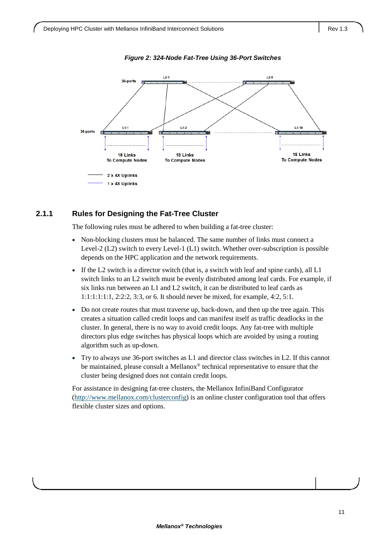<span id="page-10-1"></span>

*Figure 2: 324-Node Fat-Tree Using 36-Port Switches*

### <span id="page-10-0"></span>**2.1.1 Rules for Designing the Fat-Tree Cluster**

The following rules must be adhered to when building a fat-tree cluster:

- Non-blocking clusters must be balanced. The same number of links must connect a Level-2 (L2) switch to every Level-1 (L1) switch. Whether over-subscription is possible depends on the HPC application and the network requirements.
- If the L2 switch is a director switch (that is, a switch with leaf and spine cards), all L1 switch links to an L2 switch must be evenly distributed among leaf cards. For example, if six links run between an L1 and L2 switch, it can be distributed to leaf cards as 1:1:1:1:1:1, 2:2:2, 3:3, or 6. It should never be mixed, for example, 4:2, 5:1.
- Do not create routes that must traverse up, back-down, and then up the tree again. This creates a situation called credit loops and can manifest itself as traffic deadlocks in the cluster. In general, there is no way to avoid credit loops. Any fat-tree with multiple directors plus edge switches has physical loops which are avoided by using a routing algorithm such as up-down.
- Try to always use 36-port switches as L1 and director class switches in L2. If this cannot be maintained, please consult a Mellanox® technical representative to ensure that the cluster being designed does not contain credit loops.

For assistance in designing fat-tree clusters, the Mellanox InfiniBand Configurator [\(http://www.mellanox.com/clusterconfig\)](http://www.mellanox.com/clusterconfig) is an online cluster configuration tool that offers flexible cluster sizes and options.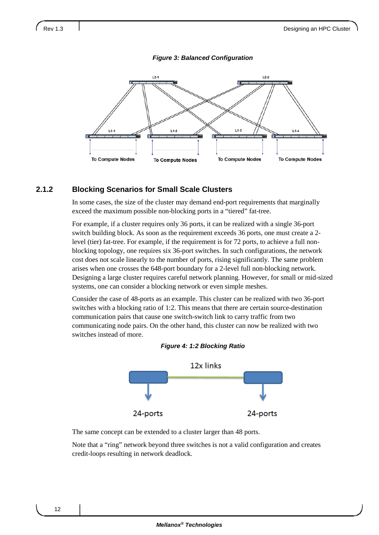#### *Figure 3: Balanced Configuration*

<span id="page-11-1"></span>

### <span id="page-11-0"></span>**2.1.2 Blocking Scenarios for Small Scale Clusters**

In some cases, the size of the cluster may demand end-port requirements that marginally exceed the maximum possible non-blocking ports in a "tiered" fat-tree.

For example, if a cluster requires only 36 ports, it can be realized with a single 36-port switch building block. As soon as the requirement exceeds 36 ports, one must create a 2 level (tier) fat-tree. For example, if the requirement is for 72 ports, to achieve a full nonblocking topology, one requires six 36-port switches. In such configurations, the network cost does not scale linearly to the number of ports, rising significantly. The same problem arises when one crosses the 648-port boundary for a 2-level full non-blocking network. Designing a large cluster requires careful network planning. However, for small or mid-sized systems, one can consider a blocking network or even simple meshes.

<span id="page-11-2"></span>Consider the case of 48-ports as an example. This cluster can be realized with two 36-port switches with a blocking ratio of 1:2. This means that there are certain source-destination communication pairs that cause one switch-switch link to carry traffic from two communicating node pairs. On the other hand, this cluster can now be realized with two switches instead of more.



*Figure 4: 1:2 Blocking Ratio*

The same concept can be extended to a cluster larger than 48 ports.

Note that a "ring" network beyond three switches is not a valid configuration and creates credit-loops resulting in network deadlock.

12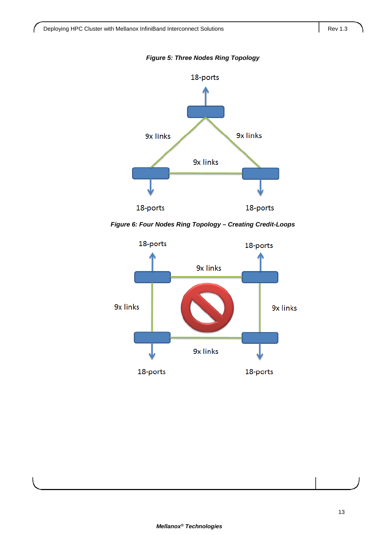### *Figure 5: Three Nodes Ring Topology*

<span id="page-12-0"></span>

*Figure 6: Four Nodes Ring Topology – Creating Credit-Loops*

<span id="page-12-1"></span>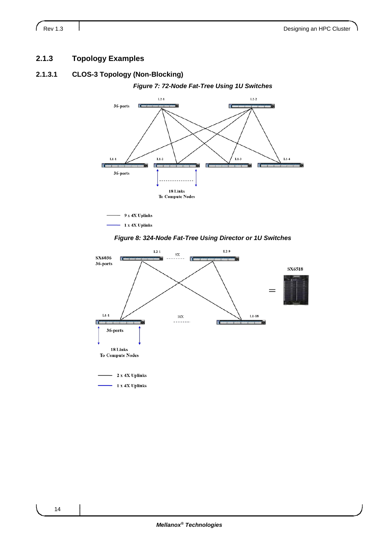<sup>1</sup>

### <span id="page-13-0"></span>**2.1.3 Topology Examples**

### <span id="page-13-1"></span>**2.1.3.1 CLOS-3 Topology (Non-Blocking)**

#### *Figure 7: 72-Node Fat-Tree Using 1U Switches*



 $-9x4X$  Uplinks

 $-1$  x 4X Uplinks

### *Figure 8: 324-Node Fat-Tree Using Director or 1U Switches*

<span id="page-13-2"></span>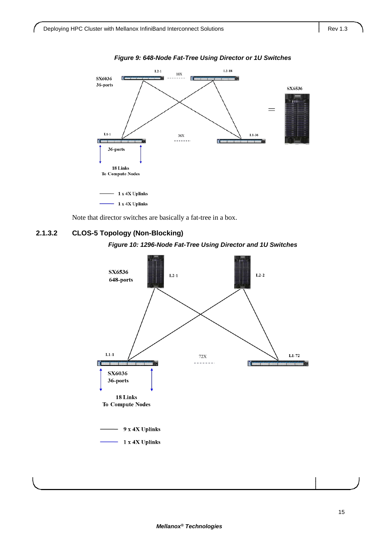<span id="page-14-0"></span>

*Figure 9: 648-Node Fat-Tree Using Director or 1U Switches*

Note that director switches are basically a fat-tree in a box.

### <span id="page-14-1"></span>**2.1.3.2 CLOS-5 Topology (Non-Blocking)**



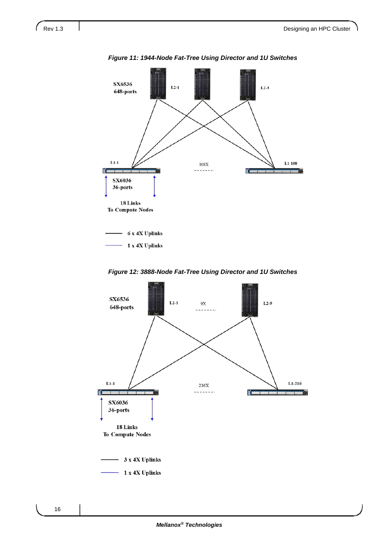J,

<span id="page-15-0"></span>

*Figure 11: 1944-Node Fat-Tree Using Director and 1U Switches*

<span id="page-15-1"></span>

*Figure 12: 3888-Node Fat-Tree Using Director and 1U Switches*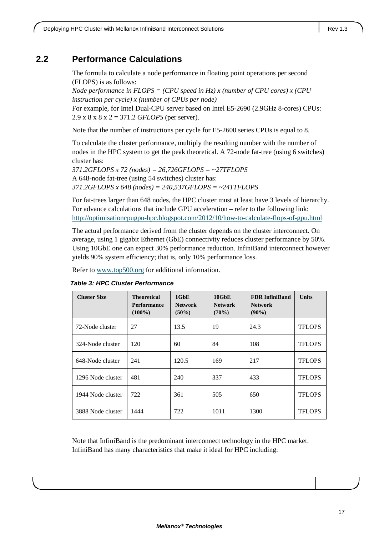# <span id="page-16-0"></span>**2.2 Performance Calculations**

The formula to calculate a node performance in floating point operations per second (FLOPS) is as follows:

*Node performance in FLOPS = (CPU speed in Hz) x (number of CPU cores) x (CPU instruction per cycle) x (number of CPUs per node)*

For example, for Intel Dual-CPU server based on Intel E5-2690 (2.9GHz 8-cores) CPUs: 2.9 x 8 x 8 x 2 = 371.2 *GFLOPS* (per server).

Note that the number of instructions per cycle for E5-2600 series CPUs is equal to 8.

To calculate the cluster performance, multiply the resulting number with the number of nodes in the HPC system to get the peak theoretical. A 72-node fat-tree (using 6 switches) cluster has:

*371.2GFLOPS x 72 (nodes) = 26,726GFLOPS = ~27TFLOPS* A 648-node fat-tree (using 54 switches) cluster has: *371.2GFLOPS x 648 (nodes) = 240,537GFLOPS = ~241TFLOPS*

For fat-trees larger than 648 nodes, the HPC cluster must at least have 3 levels of hierarchy. For advance calculations that include GPU acceleration – refer to the following link: <http://optimisationcpugpu-hpc.blogspot.com/2012/10/how-to-calculate-flops-of-gpu.html>

The actual performance derived from the cluster depends on the cluster interconnect. On average, using 1 gigabit Ethernet (GbE) connectivity reduces cluster performance by 50%. Using 10GbE one can expect 30% performance reduction. InfiniBand interconnect however yields 90% system efficiency; that is, only 10% performance loss.

Refer to [www.top500.org](http://www.top500.org/) for additional information.

| <b>Cluster Size</b> | <b>Theoretical</b><br><b>Performance</b><br>$(100\%)$ | $1$ GbE<br><b>Network</b><br>$(50\%)$ | $10$ GbE<br><b>Network</b><br>$(70\%)$ | <b>FDR</b> InfiniBand<br><b>Network</b><br>$(90\%)$ | <b>Units</b>  |
|---------------------|-------------------------------------------------------|---------------------------------------|----------------------------------------|-----------------------------------------------------|---------------|
| 72-Node cluster     | 27                                                    | 13.5                                  | 19                                     | 24.3                                                | <b>TFLOPS</b> |
| 324-Node cluster    | 120                                                   | 60                                    | 84                                     | 108                                                 | <b>TFLOPS</b> |
| 648-Node cluster    | 241                                                   | 120.5                                 | 169                                    | 217                                                 | <b>TFLOPS</b> |
| 1296 Node cluster   | 481                                                   | 240                                   | 337                                    | 433                                                 | <b>TFLOPS</b> |
| 1944 Node cluster   | 722                                                   | 361                                   | 505                                    | 650                                                 | <b>TFLOPS</b> |
| 3888 Node cluster   | 1444                                                  | 722                                   | 1011                                   | 1300                                                | <b>TFLOPS</b> |

<span id="page-16-1"></span>*Table 3: HPC Cluster Performance*

Note that InfiniBand is the predominant interconnect technology in the HPC market. InfiniBand has many characteristics that make it ideal for HPC including: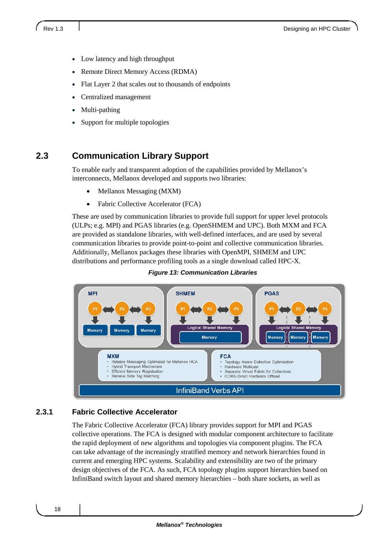- Low latency and high throughput
- Remote Direct Memory Access (RDMA)
- Flat Layer 2 that scales out to thousands of endpoints
- Centralized management
- Multi-pathing
- Support for multiple topologies

# <span id="page-17-0"></span>**2.3 Communication Library Support**

To enable early and transparent adoption of the capabilities provided by Mellanox's interconnects, Mellanox developed and supports two libraries:

- Mellanox Messaging (MXM)
- Fabric Collective Accelerator (FCA)

These are used by communication libraries to provide full support for upper level protocols (ULPs; e.g. MPI) and PGAS libraries (e.g. OpenSHMEM and UPC). Both MXM and FCA are provided as standalone libraries, with well-defined interfaces, and are used by several communication libraries to provide point-to-point and collective communication libraries. Additionally, Mellanox packages these libraries with OpenMPI, SHMEM and UPC distributions and performance profiling tools as a single download called HPC-X.



<span id="page-17-2"></span>

### <span id="page-17-1"></span>**2.3.1 Fabric Collective Accelerator**

The Fabric Collective Accelerator (FCA) library provides support for MPI and PGAS collective operations. The FCA is designed with modular component architecture to facilitate the rapid deployment of new algorithms and topologies via component plugins. The FCA can take advantage of the increasingly stratified memory and network hierarchies found in current and emerging HPC systems. Scalability and extensibility are two of the primary design objectives of the FCA. As such, FCA topology plugins support hierarchies based on InfiniBand switch layout and shared memory hierarchies – both share sockets, as well as

18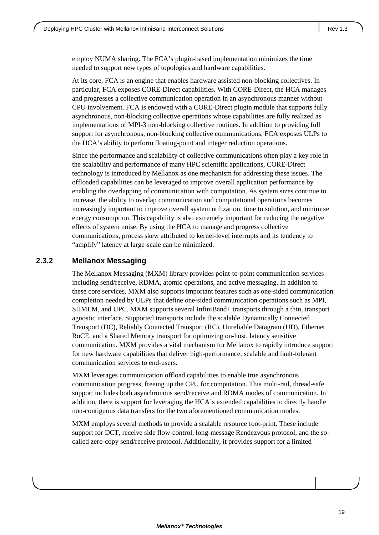employ NUMA sharing. The FCA's plugin-based implementation minimizes the time needed to support new types of topologies and hardware capabilities.

At its core, FCA is an engine that enables hardware assisted non-blocking collectives. In particular, FCA exposes CORE-Direct capabilities. With CORE-Direct, the HCA manages and progresses a collective communication operation in an asynchronous manner without CPU involvement. FCA is endowed with a CORE-Direct plugin module that supports fully asynchronous, non-blocking collective operations whose capabilities are fully realized as implementations of MPI-3 non-blocking collective routines. In addition to providing full support for asynchronous, non-blocking collective communications, FCA exposes ULPs to the HCA's ability to perform floating-point and integer reduction operations.

Since the performance and scalability of collective communications often play a key role in the scalability and performance of many HPC scientific applications, CORE-Direct technology is introduced by Mellanox as one mechanism for addressing these issues. The offloaded capabilities can be leveraged to improve overall application performance by enabling the overlapping of communication with computation. As system sizes continue to increase, the ability to overlap communication and computational operations becomes increasingly important to improve overall system utilization, time to solution, and minimize energy consumption. This capability is also extremely important for reducing the negative effects of system noise. By using the HCA to manage and progress collective communications, process skew attributed to kernel-level interrupts and its tendency to "amplify" latency at large-scale can be minimized.

### <span id="page-18-0"></span>**2.3.2 Mellanox Messaging**

The Mellanox Messaging (MXM) library provides point-to-point communication services including send/receive, RDMA, atomic operations, and active messaging. In addition to these core services, MXM also supports important features such as one-sided communication completion needed by ULPs that define one-sided communication operations such as MPI, SHMEM, and UPC. MXM supports several InfiniBand+ transports through a thin, transport agnostic interface. Supported transports include the scalable Dynamically Connected Transport (DC), Reliably Connected Transport (RC), Unreliable Datagram (UD), Ethernet RoCE, and a Shared Memory transport for optimizing on-host, latency sensitive communication. MXM provides a vital mechanism for Mellanox to rapidly introduce support for new hardware capabilities that deliver high-performance, scalable and fault-tolerant communication services to end-users.

MXM leverages communication offload capabilities to enable true asynchronous communication progress, freeing up the CPU for computation. This multi-rail, thread-safe support includes both asynchronous send/receive and RDMA modes of communication. In addition, there is support for leveraging the HCA's extended capabilities to directly handle non-contiguous data transfers for the two aforementioned communication modes.

MXM employs several methods to provide a scalable resource foot-print. These include support for DCT, receive side flow-control, long-message Rendezvous protocol, and the socalled zero-copy send/receive protocol. Additionally, it provides support for a limited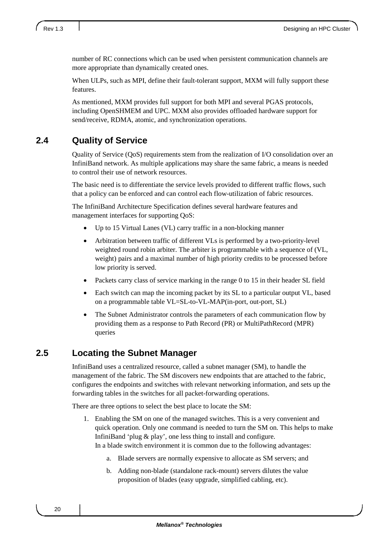number of RC connections which can be used when persistent communication channels are more appropriate than dynamically created ones.

When ULPs, such as MPI, define their fault-tolerant support, MXM will fully support these features.

As mentioned, MXM provides full support for both MPI and several PGAS protocols, including OpenSHMEM and UPC. MXM also provides offloaded hardware support for send/receive, RDMA, atomic, and synchronization operations.

# <span id="page-19-0"></span>**2.4 Quality of Service**

Quality of Service (QoS) requirements stem from the realization of I/O consolidation over an InfiniBand network. As multiple applications may share the same fabric, a means is needed to control their use of network resources.

The basic need is to differentiate the service levels provided to different traffic flows, such that a policy can be enforced and can control each flow-utilization of fabric resources.

The InfiniBand Architecture Specification defines several hardware features and management interfaces for supporting QoS:

- Up to 15 Virtual Lanes (VL) carry traffic in a non-blocking manner
- Arbitration between traffic of different VLs is performed by a two-priority-level weighted round robin arbiter. The arbiter is programmable with a sequence of (VL, weight) pairs and a maximal number of high priority credits to be processed before low priority is served.
- Packets carry class of service marking in the range 0 to 15 in their header SL field
- Each switch can map the incoming packet by its SL to a particular output VL, based on a programmable table VL=SL-to-VL-MAP(in-port, out-port, SL)
- The Subnet Administrator controls the parameters of each communication flow by providing them as a response to Path Record (PR) or MultiPathRecord (MPR) queries

# <span id="page-19-1"></span>**2.5 Locating the Subnet Manager**

InfiniBand uses a centralized resource, called a subnet manager (SM), to handle the management of the fabric. The SM discovers new endpoints that are attached to the fabric, configures the endpoints and switches with relevant networking information, and sets up the forwarding tables in the switches for all packet-forwarding operations.

There are three options to select the best place to locate the SM:

- 1. Enabling the SM on one of the managed switches. This is a very convenient and quick operation. Only one command is needed to turn the SM on. This helps to make InfiniBand 'plug & play', one less thing to install and configure. In a blade switch environment it is common due to the following advantages:
	- a. Blade servers are normally expensive to allocate as SM servers; and
	- b. Adding non-blade (standalone rack-mount) servers dilutes the value proposition of blades (easy upgrade, simplified cabling, etc).

20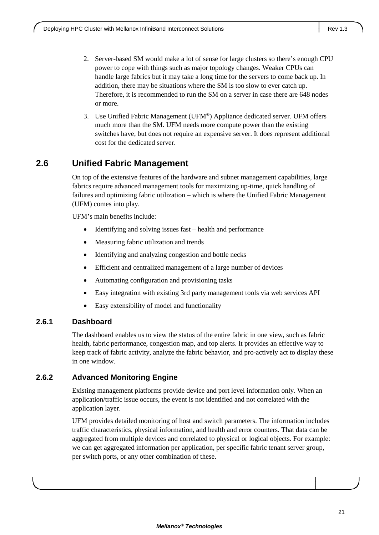- 2. Server-based SM would make a lot of sense for large clusters so there's enough CPU power to cope with things such as major topology changes. Weaker CPUs can handle large fabrics but it may take a long time for the servers to come back up. In addition, there may be situations where the SM is too slow to ever catch up. Therefore, it is recommended to run the SM on a server in case there are 648 nodes or more.
- 3. Use Unified Fabric Management (UFM®) Appliance dedicated server. UFM offers much more than the SM. UFM needs more compute power than the existing switches have, but does not require an expensive server. It does represent additional cost for the dedicated server.

# <span id="page-20-0"></span>**2.6 Unified Fabric Management**

On top of the extensive features of the hardware and subnet management capabilities, large fabrics require advanced management tools for maximizing up-time, quick handling of failures and optimizing fabric utilization – which is where the Unified Fabric Management (UFM) comes into play.

UFM's main benefits include:

- Identifying and solving issues fast health and performance
- Measuring fabric utilization and trends
- Identifying and analyzing congestion and bottle necks
- Efficient and centralized management of a large number of devices
- Automating configuration and provisioning tasks
- Easy integration with existing 3rd party management tools via web services API
- Easy extensibility of model and functionality

### <span id="page-20-1"></span>**2.6.1 Dashboard**

The dashboard enables us to view the status of the entire fabric in one view, such as fabric health, fabric performance, congestion map, and top alerts. It provides an effective way to keep track of fabric activity, analyze the fabric behavior, and pro-actively act to display these in one window.

### <span id="page-20-2"></span>**2.6.2 Advanced Monitoring Engine**

Existing management platforms provide device and port level information only. When an application/traffic issue occurs, the event is not identified and not correlated with the application layer.

UFM provides detailed monitoring of host and switch parameters. The information includes traffic characteristics, physical information, and health and error counters. That data can be aggregated from multiple devices and correlated to physical or logical objects. For example: we can get aggregated information per application, per specific fabric tenant server group, per switch ports, or any other combination of these.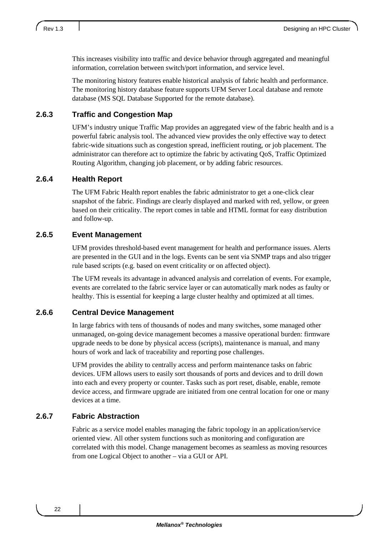This increases visibility into traffic and device behavior through aggregated and meaningful information, correlation between switch/port information, and service level.

The monitoring history features enable historical analysis of fabric health and performance. The monitoring history database feature supports UFM Server Local database and remote database (MS SQL Database Supported for the remote database).

### <span id="page-21-0"></span>**2.6.3 Traffic and Congestion Map**

UFM's industry unique Traffic Map provides an aggregated view of the fabric health and is a powerful fabric analysis tool. The advanced view provides the only effective way to detect fabric-wide situations such as congestion spread, inefficient routing, or job placement. The administrator can therefore act to optimize the fabric by activating QoS, Traffic Optimized Routing Algorithm, changing job placement, or by adding fabric resources.

### <span id="page-21-1"></span>**2.6.4 Health Report**

The UFM Fabric Health report enables the fabric administrator to get a one-click clear snapshot of the fabric. Findings are clearly displayed and marked with red, yellow, or green based on their criticality. The report comes in table and HTML format for easy distribution and follow-up.

### <span id="page-21-2"></span>**2.6.5 Event Management**

UFM provides threshold-based event management for health and performance issues. Alerts are presented in the GUI and in the logs. Events can be sent via SNMP traps and also trigger rule based scripts (e.g. based on event criticality or on affected object).

The UFM reveals its advantage in advanced analysis and correlation of events. For example, events are correlated to the fabric service layer or can automatically mark nodes as faulty or healthy. This is essential for keeping a large cluster healthy and optimized at all times.

### <span id="page-21-3"></span>**2.6.6 Central Device Management**

In large fabrics with tens of thousands of nodes and many switches, some managed other unmanaged, on-going device management becomes a massive operational burden: firmware upgrade needs to be done by physical access (scripts), maintenance is manual, and many hours of work and lack of traceability and reporting pose challenges.

UFM provides the ability to centrally access and perform maintenance tasks on fabric devices. UFM allows users to easily sort thousands of ports and devices and to drill down into each and every property or counter. Tasks such as port reset, disable, enable, remote device access, and firmware upgrade are initiated from one central location for one or many devices at a time.

### <span id="page-21-4"></span>**2.6.7 Fabric Abstraction**

Fabric as a service model enables managing the fabric topology in an application/service oriented view. All other system functions such as monitoring and configuration are correlated with this model. Change management becomes as seamless as moving resources from one Logical Object to another – via a GUI or API.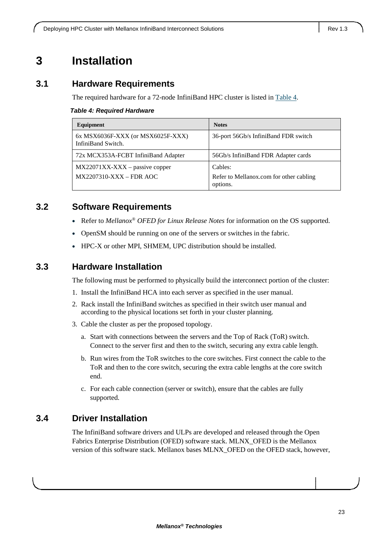# <span id="page-22-0"></span>**3 Installation**

### <span id="page-22-1"></span>**3.1 Hardware Requirements**

The required hardware for a 72-node InfiniBand HPC cluster is listed in [Table 4.](#page-22-5)

#### <span id="page-22-5"></span>*Table 4: Required Hardware*

| Equipment                                                         | <b>Notes</b>                                                   |
|-------------------------------------------------------------------|----------------------------------------------------------------|
| $6x$ MSX $6036F$ -XXX (or MSX $6025F$ -XXX)<br>InfiniBand Switch. | 36-port 56Gb/s InfiniBand FDR switch                           |
| 72x MCX353A-FCBT InfiniBand Adapter                               | 56Gb/s InfiniBand FDR Adapter cards                            |
| $MX22071XX-XXX - passive copper$<br>$MX2207310-XXX - FDR AOC$     | Cables:<br>Refer to Mellanox.com for other cabling<br>options. |

# <span id="page-22-2"></span>**3.2 Software Requirements**

- Refer to *Mellanox*® *OFED for Linux Release Notes* for information on the OS supported.
- OpenSM should be running on one of the servers or switches in the fabric.
- HPC-X or other MPI, SHMEM, UPC distribution should be installed.

### <span id="page-22-3"></span>**3.3 Hardware Installation**

The following must be performed to physically build the interconnect portion of the cluster:

- 1. Install the InfiniBand HCA into each server as specified in the user manual.
- 2. Rack install the InfiniBand switches as specified in their switch user manual and according to the physical locations set forth in your cluster planning.
- 3. Cable the cluster as per the proposed topology.
	- a. Start with connections between the servers and the Top of Rack (ToR) switch. Connect to the server first and then to the switch, securing any extra cable length.
	- b. Run wires from the ToR switches to the core switches. First connect the cable to the ToR and then to the core switch, securing the extra cable lengths at the core switch end.
	- c. For each cable connection (server or switch), ensure that the cables are fully supported.

### <span id="page-22-4"></span>**3.4 Driver Installation**

The InfiniBand software drivers and ULPs are developed and released through the Open Fabrics Enterprise Distribution (OFED) software stack. MLNX\_OFED is the Mellanox version of this software stack. Mellanox bases MLNX\_OFED on the OFED stack, however,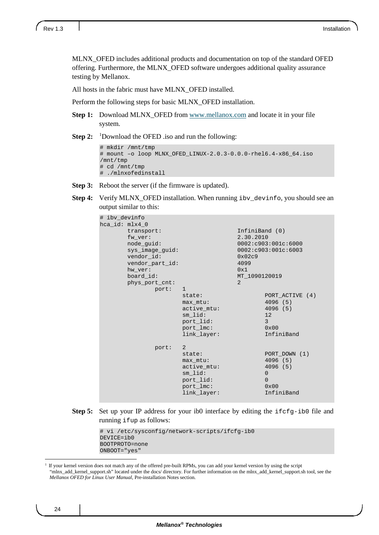MLNX\_OFED includes additional products and documentation on top of the standard OFED offering. Furthermore, the MLNX\_OFED software undergoes additional quality assurance testing by Mellanox.

All hosts in the fabric must have MLNX\_OFED installed.

Perform the following steps for basic MLNX\_OFED installation.

- **Step 1:** Download MLNX\_OFED from [www.mellanox.com](http://www.mellanox.com/) and locate it in your file system.
- **Step 2:** <sup>[1](#page-23-0)</sup>Download the OFED .iso and run the following:

```
# mkdir /mnt/tmp
# mount –o loop MLNX_OFED_LINUX-2.0.3-0.0.0-rhel6.4-x86_64.iso
/mnt/tmp
# cd /mnt/tmp
# ./mlnxofedinstall
```
- **Step 3:** Reboot the server (if the firmware is updated).
- **Step 4:** Verify MLNX\_OFED installation. When running ibv\_devinfo, you should see an output similar to this:

| # ibv_devinfo  |                                                                                                                                   |                                                                                                       |                                                                                         |                                                                                             |  |
|----------------|-----------------------------------------------------------------------------------------------------------------------------------|-------------------------------------------------------------------------------------------------------|-----------------------------------------------------------------------------------------|---------------------------------------------------------------------------------------------|--|
| hca id: mlx4 0 | transport:<br>fw ver:<br>node quid:<br>sys_image_guid:<br>vendor id:<br>vendor_part_id:<br>hw_ver:<br>board id:<br>phys_port_cnt: |                                                                                                       | InfiniBand (0)<br>2.30.2010<br>0x02c9<br>4099<br>0x1<br>MT 1090120019<br>$\overline{2}$ | 0002:c903:001c:6000<br>0002: c903: 001c: 6003                                               |  |
|                | port:                                                                                                                             | $\mathbf{1}$<br>state:<br>max mtu:<br>active_mtu:<br>sm lid:<br>port_lid:<br>port lmc:<br>link layer: |                                                                                         | PORT ACTIVE (4)<br>4096(5)<br>4096(5)<br>12<br>$\mathcal{E}$<br>$0 \times 00$<br>InfiniBand |  |
|                | port:                                                                                                                             | 2<br>state:<br>max_mtu:<br>active mtu:<br>sm lid:<br>port_lid:<br>port_lmc:<br>link_layer:            |                                                                                         | PORT DOWN (1)<br>4096(5)<br>4096 (5)<br>$\overline{0}$<br>$\Omega$<br>0x00<br>InfiniBand    |  |

**Step 5:** Set up your IP address for your ib0 interface by editing the ifcfg-ib0 file and running ifup as follows:

> # vi /etc/sysconfig/network-scripts/ifcfg-ib0 DEVICE=ib0 BOOTPROTO=none ONBOOT="yes"

24

l

<span id="page-23-0"></span><sup>&</sup>lt;sup>1</sup> If your kernel version does not match any of the offered pre-built RPMs, you can add your kernel version by using the script "mlnx\_add\_kernel\_support.sh" located under the docs/ directory. For further information on the mlnx\_add\_kernel\_support.sh tool, see the *Mellanox OFED for Linux User Manual*, Pre-installation Notes section.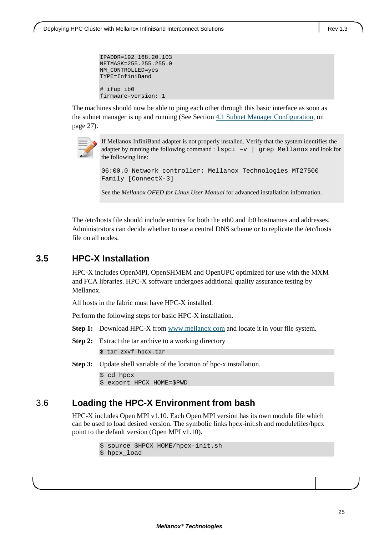```
IPADDR=192.168.20.103
NETMASK=255.255.255.0
NM_CONTROLLED=yes
TYPE=InfiniBand
```
# ifup ib0 firmware-version: 1

The machines should now be able to ping each other through this basic interface as soon as the subnet manager is up and running (See Section [4.1](#page-26-1) [Subnet Manager Configuration,](#page-26-1) on page [27\)](#page-26-1).



If Mellanox InfiniBand adapter is not properly installed. Verify that the system identifies the adapter by running the following command :  $lspci -v$  | grep Mellanox and look for the following line:

```
06:00.0 Network controller: Mellanox Technologies MT27500 
Family [ConnectX-3]
```
See the *Mellanox OFED for Linux User Manual* for advanced installation information.

The /etc/hosts file should include entries for both the eth0 and ib0 hostnames and addresses. Administrators can decide whether to use a central DNS scheme or to replicate the /etc/hosts file on all nodes.

# <span id="page-24-0"></span>**3.5 HPC-X Installation**

HPC-X includes OpenMPI, OpenSHMEM and OpenUPC optimized for use with the MXM and FCA libraries. HPC-X software undergoes additional quality assurance testing by Mellanox.

All hosts in the fabric must have HPC-X installed.

Perform the following steps for basic HPC-X installation.

- **Step 1:** Download HPC-X from [www.mellanox.com](http://www.mellanox.com/) and locate it in your file system.
- **Step 2:** Extract the tar archive to a working directory

\$ tar zxvf hpcx.tar

**Step 3:** Update shell variable of the location of hpc-x installation.

```
$ cd hpcx
```
\$ export HPCX\_HOME=\$PWD

# <span id="page-24-1"></span>3.6 **Loading the HPC-X Environment from bash**

HPC-X includes Open MPI v1.10. Each Open MPI version has its own module file which can be used to load desired version. The symbolic links hpcx-init.sh and modulefiles/hpcx point to the default version (Open MPI v1.10).

- \$ source \$HPCX\_HOME/hpcx-init.sh
- \$ hpcx\_load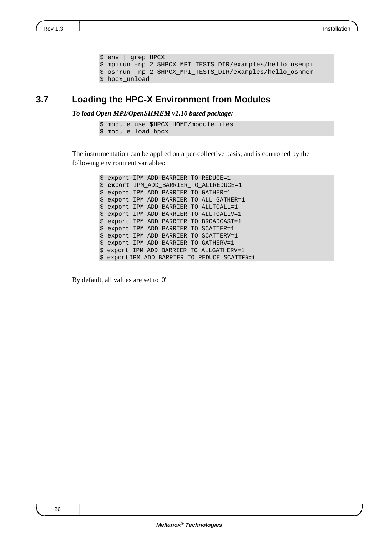```
$ env | grep HPCX
$ mpirun -np 2 $HPCX_MPI_TESTS_DIR/examples/hello_usempi
$ oshrun -np 2 $HPCX_MPI_TESTS_DIR/examples/hello_oshmem
$ hpcx_unload
```
### <span id="page-25-0"></span>**3.7 Loading the HPC-X Environment from Modules**

*To load Open MPI/OpenSHMEM v1.10 based package:*

```
$ module use $HPCX_HOME/modulefiles
$ module load hpcx
```
The instrumentation can be applied on a per-collective basis, and is controlled by the following environment variables:

```
$ export IPM ADD BARRIER TO REDUCE=1
$ export IPM ADD BARRIER TO ALLREDUCE=1
$ export IPM ADD BARRIER TO GATHER=1
$ export IPM ADD BARRIER TO ALL GATHER=1
$ export IPM_ADD_BARRIER_TO_ALLTOALL=1
$ export IPM_ADD_BARRIER_TO_ALLTOALLV=1
$ export IPM_ADD_BARRIER_TO_BROADCAST=1
$ export IPM_ADD_BARRIER_TO_SCATTER=1
$ export IPM_ADD_BARRIER_TO_SCATTERV=1
$ export IPM_ADD_BARRIER_TO_GATHERV=1
$ export IPM_ADD_BARRIER_TO_ALLGATHERV=1
$ exportIPM_ADD_BARRIER_TO_REDUCE_SCATTER=1
```
By default, all values are set to '0'.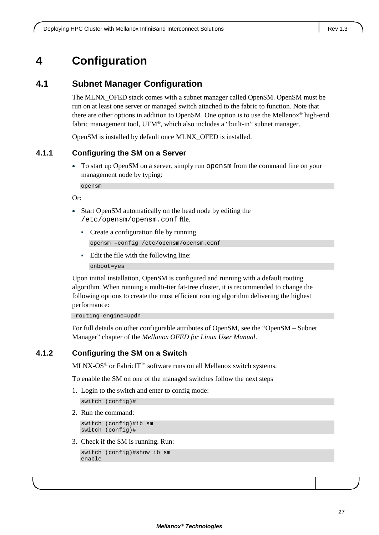# <span id="page-26-0"></span>**4 Configuration**

# <span id="page-26-1"></span>**4.1 Subnet Manager Configuration**

The MLNX\_OFED stack comes with a subnet manager called OpenSM. OpenSM must be run on at least one server or managed switch attached to the fabric to function. Note that there are other options in addition to OpenSM. One option is to use the Mellanox® high-end fabric management tool, UFM®, which also includes a "built-in" subnet manager.

OpenSM is installed by default once MLNX\_OFED is installed.

### <span id="page-26-2"></span>**4.1.1 Configuring the SM on a Server**

• To start up OpenSM on a server, simply run opensm from the command line on your management node by typing:

opensm

Or:

- Start OpenSM automatically on the head node by editing the /etc/opensm/opensm.conf file.
	- Create a configuration file by running opensm –config /etc/opensm/opensm.conf
	- Edit the file with the following line: onboot=yes

Upon initial installation, OpenSM is configured and running with a default routing algorithm. When running a multi-tier fat-tree cluster, it is recommended to change the following options to create the most efficient routing algorithm delivering the highest performance:

–routing\_engine=updn

For full details on other configurable attributes of OpenSM, see the "OpenSM – Subnet Manager" chapter of the *Mellanox OFED for Linux User Manual*.

### <span id="page-26-3"></span>**4.1.2 Configuring the SM on a Switch**

 $MLNX-OS^{\circledcirc}$  or FabricIT<sup>™</sup> software runs on all Mellanox switch systems.

To enable the SM on one of the managed switches follow the next steps

1. Login to the switch and enter to config mode:

switch (config)#

2. Run the command:

```
switch (config)#ib sm
switch (config)#
```
3. Check if the SM is running. Run:

switch (config)#show ib sm enable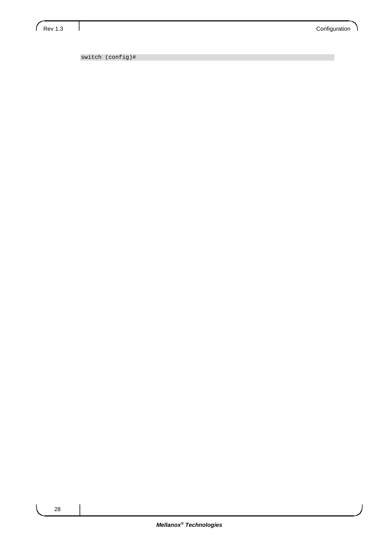J

switch (config)#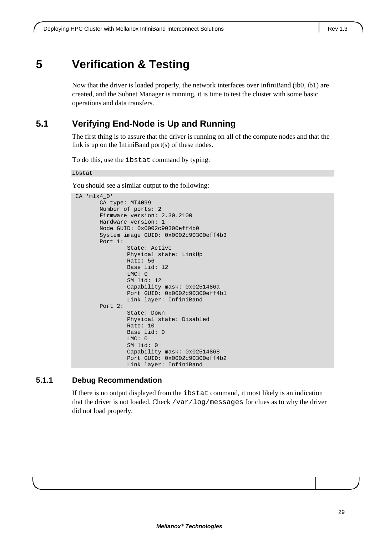# <span id="page-28-0"></span>**5 Verification & Testing**

Now that the driver is loaded properly, the network interfaces over InfiniBand (ib0, ib1) are created, and the Subnet Manager is running, it is time to test the cluster with some basic operations and data transfers.

# <span id="page-28-1"></span>**5.1 Verifying End-Node is Up and Running**

The first thing is to assure that the driver is running on all of the compute nodes and that the link is up on the InfiniBand port(s) of these nodes.

To do this, use the ibstat command by typing:

ibstat

You should see a similar output to the following:

```
CA 'mlx4_0'
        CA type: MT4099
        Number of ports: 2
        Firmware version: 2.30.2100
        Hardware version: 1
        Node GUID: 0x0002c90300eff4b0
        System image GUID: 0x0002c90300eff4b3
        Port 1:
                 State: Active
                 Physical state: LinkUp
                 Rate: 56
                 Base lid: 12
                 LMC: 0
                 SM lid: 12
                 Capability mask: 0x0251486a
                 Port GUID: 0x0002c90300eff4b1
                Link layer: InfiniBand
        Port 2:
                 State: Down
                 Physical state: Disabled
                 Rate: 10
                 Base lid: 0
                 LMC: 0
                 SM lid: 0
                 Capability mask: 0x02514868
                 Port GUID: 0x0002c90300eff4b2
                 Link layer: InfiniBand
```
### <span id="page-28-2"></span>**5.1.1 Debug Recommendation**

If there is no output displayed from the ibstat command, it most likely is an indication that the driver is not loaded. Check /var/log/messages for clues as to why the driver did not load properly.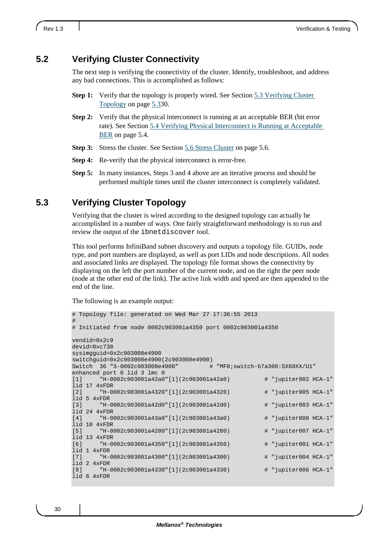### <span id="page-29-0"></span>**5.2 Verifying Cluster Connectivity**

The next step is verifying the connectivity of the cluster. Identify, troubleshoot, and address any bad connections. This is accomplished as follows:

- **Step 1:** Verify that the topology is properly wired. See Section [5.3](#page-29-1) Verifying Cluster [Topology](#page-29-1) on page [5.330.](#page-29-1)
- **Step 2:** Verify that the physical interconnect is running at an acceptable BER (bit error rate). See Section [5.4](#page-30-0) [Verifying Physical Interconnect is Running at Acceptable](#page-30-0)  [BER](#page-30-0) on page [5.4.](#page-30-0)
- **Step 3:** Stress the cluster. See Section [5.6](#page-33-0) [Stress Cluster](#page-33-0) on page [5.6.](#page-33-0)
- **Step 4:** Re-verify that the physical interconnect is error-free.
- **Step 5:** In many instances, Steps 3 and 4 above are an iterative process and should be performed multiple times until the cluster interconnect is completely validated.

### <span id="page-29-1"></span>**5.3 Verifying Cluster Topology**

Verifying that the cluster is wired according to the designed topology can actually be accomplished in a number of ways. One fairly straightforward methodology is to run and review the output of the ibnetdiscover tool.

This tool performs InfiniBand subnet discovery and outputs a topology file. GUIDs, node type, and port numbers are displayed, as well as port LIDs and node descriptions. All nodes and associated links are displayed. The topology file format shows the connectivity by displaying on the left the port number of the current node, and on the right the peer node (node at the other end of the link). The active link width and speed are then appended to the end of the line.

The following is an example output:

```
# Topology file: generated on Wed Mar 27 17:36:55 2013
#
# Initiated from node 0002c903001a4350 port 0002c903001a4350
vendid=0x2c9
devid=0xc738
sysimgguid=0x2c903008e4900
switchguid=0x2c903008e4900(2c903008e4900)<br>Switch 36 "S-0002c903008e4900" # "MF0;switch-b7a300:SX60XX/U1"
Switch 36 "S-0002c903008e4900"
enhanced port 0 lid 3 lmc 0
        [1] "H-0002c903001a42a0"[1](2c903001a42a0) # "jupiter002 HCA-1" 
lid 17 4xFDR<br>[2] "H-0
        [2] "H-0002c903001a4320"[1](2c903001a4320) # "jupiter005 HCA-1" 
lid 5 4xFDR<br>[3] "H-
        [3] "H-0002c903001a42d0"[1](2c903001a42d0) # "jupiter003 HCA-1" 
lid 24 4xFDR
[4] "H-0002c903001a43a0"[1](2c903001a43a0) # "jupiter008 HCA-1" 
lid 18 4xFDR
[5] "H-0002c903001a4280"[1](2c903001a4280) # "jupiter007 HCA-1" 
lid 13 4xFDR<br>[6] "H-0
        [6] "H-0002c903001a4350"[1](2c903001a4350) # "jupiter001 HCA-1" 
lid 1 4xFDR<br>[7] "H-
        [7] "H-0002c903001a4300"[1](2c903001a4300) # "jupiter004 HCA-1" 
lid 2 4xFDR<br>[8] "H-
        [8] "H-0002c903001a4330"[1](2c903001a4330) # "jupiter006 HCA-1" 
lid 6 4xFDR
```
30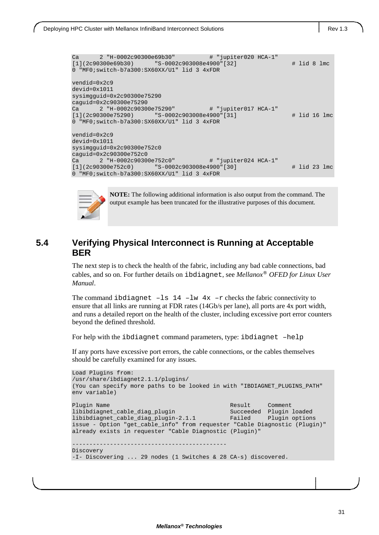```
Ca 2 "H-0002c90300e69b30" # "jupiter020 HCA-1"
[1](2c90300e69b30) "S-0002c903008e4900"[32] # lid 8 lmc 
0 "MF0;switch-b7a300:SX60XX/U1" lid 3 4xFDR
vendid=0x2c9
devid=0x1011
sysimgguid=0x2c90300e75290
caguid=0x2c90300e75290<br>Ca 2 "H-0002c9030
Ca 2 "H-0002c90300e75290" # "jupiter017 HCA-1"<br>[1](2c90300e75290) "S-0002c903008e4900"[31]
                         [1](2c90300e75290) "S-0002c903008e4900"[31] # lid 16 lmc 
0 "MF0;switch-b7a300:SX60XX/U1" lid 3 4xFDR
vendid=0x2c9
devid=0x1011
sysimgguid=0x2c90300e752c0
caguid=0x2c90300e752c0<br>Ca 2 "H-0002c9030
Ca 2 "H-0002c90300e752c0" # "jupiter024 HCA-1"<br>[1](2c90300e752c0) "S-0002c903008e4900"[30]
                         [1](2c90300e752c0) "S-0002c903008e4900"[30] # lid 23 lmc 
0 "MF0;switch-b7a300:SX60XX/U1" lid 3 4xFDR
```


**NOTE:** The following additional information is also output from the command. The output example has been truncated for the illustrative purposes of this document.

### <span id="page-30-0"></span>**5.4 Verifying Physical Interconnect is Running at Acceptable BER**

The next step is to check the health of the fabric, including any bad cable connections, bad cables, and so on. For further details on ibdiagnet, see *Mellanox® OFED for Linux User Manual*.

The command ibdiagnet  $-1s$  14  $-1w$  4x  $-r$  checks the fabric connectivity to ensure that all links are running at FDR rates (14Gb/s per lane), all ports are 4x port width, and runs a detailed report on the health of the cluster, including excessive port error counters beyond the defined threshold.

For help with the ibdiagnet command parameters, type: ibdiagnet –help

If any ports have excessive port errors, the cable connections, or the cables themselves should be carefully examined for any issues.

```
Load Plugins from:
/usr/share/ibdiagnet2.1.1/plugins/
(You can specify more paths to be looked in with "IBDIAGNET_PLUGINS_PATH" 
env variable)
Plugin Name Result Comment
libibdiagnet_cable_diag_plugin Succeeded Plugin loaded
libibdiagnet_cable_diag_plugin-2.1.1
issue - Option "get_cable_info" from requester "Cable Diagnostic (Plugin)" 
already exists in requester "Cable Diagnostic (Plugin)"
---------------------------------------------
Discovery
-I- Discovering ... 29 nodes (1 Switches & 28 CA-s) discovered.
```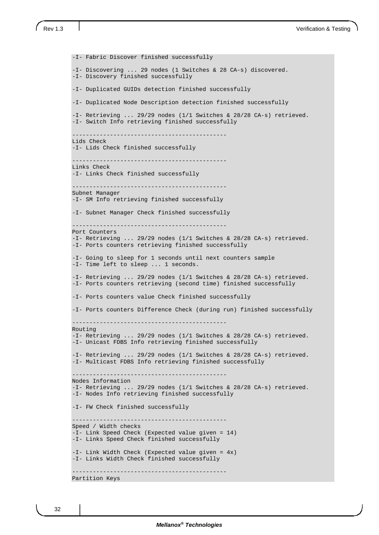-I- Fabric Discover finished successfully -I- Discovering ... 29 nodes (1 Switches & 28 CA-s) discovered. -I- Discovery finished successfully -I- Duplicated GUIDs detection finished successfully -I- Duplicated Node Description detection finished successfully -I- Retrieving ... 29/29 nodes (1/1 Switches & 28/28 CA-s) retrieved. -I- Switch Info retrieving finished successfully --------------------------------------------- Lids Check -I- Lids Check finished successfully --------------------------------------------- Links Check -I- Links Check finished successfully --------------------------------------------- Subnet Manager -I- SM Info retrieving finished successfully -I- Subnet Manager Check finished successfully --------------------------------------------- Port Counters -I- Retrieving ... 29/29 nodes (1/1 Switches & 28/28 CA-s) retrieved. -I- Ports counters retrieving finished successfully -I- Going to sleep for 1 seconds until next counters sample -I- Time left to sleep ... 1 seconds. -I- Retrieving ... 29/29 nodes (1/1 Switches & 28/28 CA-s) retrieved. -I- Ports counters retrieving (second time) finished successfully -I- Ports counters value Check finished successfully -I- Ports counters Difference Check (during run) finished successfully --------------------------------------------- Routing -I- Retrieving ... 29/29 nodes (1/1 Switches & 28/28 CA-s) retrieved. -I- Unicast FDBS Info retrieving finished successfully -I- Retrieving ... 29/29 nodes (1/1 Switches & 28/28 CA-s) retrieved. -I- Multicast FDBS Info retrieving finished successfully --------------------------------------------- Nodes Information -I- Retrieving ... 29/29 nodes (1/1 Switches & 28/28 CA-s) retrieved. -I- Nodes Info retrieving finished successfully -I- FW Check finished successfully --------------------------------------------- Speed / Width checks -I- Link Speed Check (Expected value given = 14) -I- Links Speed Check finished successfully -I- Link Width Check (Expected value given = 4x) -I- Links Width Check finished successfully --------------------------------------------- Partition Keys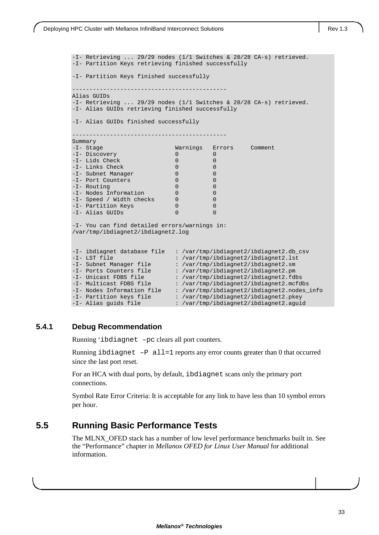-I- Retrieving ... 29/29 nodes (1/1 Switches & 28/28 CA-s) retrieved. -I- Partition Keys retrieving finished successfully -I- Partition Keys finished successfully --------------------------------------------- Alias GUIDs -I- Retrieving ... 29/29 nodes (1/1 Switches & 28/28 CA-s) retrieved. -I- Alias GUIDs retrieving finished successfully -I- Alias GUIDs finished successfully --------------------------------------------- Summary<br>-I- Stage -I- Stage Warnings Errors Comment -I- Discovery 0 0 -I- Lids Check 0 0 -I- Links Check 0 0 -I- Subnet Manager 0 0 0 0<br>-I- Port Counters 0 0 0 0 -I- Port Counters 0 0 0 0<br>-I- Routing 0 0 0 -I- Routing  $0$  0 0<br>-I- Nodes Information 0 0 0 -I- Nodes Information 0 0 0 0<br>-I- Speed / Width checks 0 0 0 0 -I- Speed / Width checks 0 0 0 0<br>-I- Partition Keys 0 0 0 0 -I- Partition Keys 0 0  $-I-$  Alias GUIDs -I- You can find detailed errors/warnings in: /var/tmp/ibdiagnet2/ibdiagnet2.log -I- ibdiagnet database file : /var/tmp/ibdiagnet2/ibdiagnet2.db\_csv<br>-I- LST file : /var/tmp/ibdiagnet2/ibdiagnet2.lst : /var/tmp/ibdiagnet2/ibdiagnet2.lst -I- Subnet Manager file : /var/tmp/ibdiagnet2/ibdiagnet2.sm -I- Ports Counters file : /var/tmp/ibdiagnet2/ibdiagnet2.pm -I- Unicast FDBS file : /var/tmp/ibdiagnet2/ibdiagnet2.fdbs<br>-I- Multicast FDBS file : /var/tmp/ibdiagnet2/ibdiagnet2.mcfd : /var/tmp/ibdiagnet2/ibdiagnet2.mcfdbs -I- Nodes Information file : /var/tmp/ibdiagnet2/ibdiagnet2.nodes\_info -I- Partition keys file : /var/tmp/ibdiagnet2/ibdiagnet2.pkey<br>-I- Alias quids file : /var/tmp/ibdiagnet2/ibdiagnet2.aqui : /var/tmp/ibdiagnet2/ibdiagnet2.aguid

#### <span id="page-32-0"></span>**5.4.1 Debug Recommendation**

Running 'ibdiagnet –pc clears all port counters.

Running ibdiagnet  $-P$  all=1 reports any error counts greater than 0 that occurred since the last port reset.

For an HCA with dual ports, by default, ibdiagnet scans only the primary port connections.

Symbol Rate Error Criteria: It is acceptable for any link to have less than 10 symbol errors per hour.

### <span id="page-32-1"></span>**5.5 Running Basic Performance Tests**

The MLNX\_OFED stack has a number of low level performance benchmarks built in. See the "Performance" chapter in *Mellanox OFED for Linux User Manual* for additional information.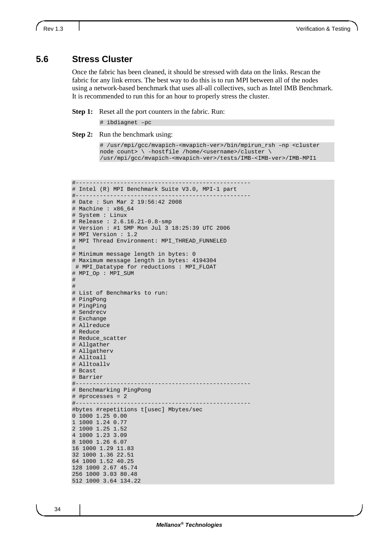### <span id="page-33-0"></span>**5.6 Stress Cluster**

Once the fabric has been cleaned, it should be stressed with data on the links. Rescan the fabric for any link errors. The best way to do this is to run MPI between all of the nodes using a network-based benchmark that uses all-all collectives, such as Intel IMB Benchmark. It is recommended to run this for an hour to properly stress the cluster.

**Step 1:** Reset all the port counters in the fabric. Run:

# ibdiagnet –pc

**Step 2:** Run the benchmark using:

```
# /usr/mpi/gcc/mvapich-<mvapich-ver>/bin/mpirun_rsh –np <cluster 
node count> \ -hostfile /home/<username>/cluster \
/usr/mpi/gcc/mvapich-<mvapich-ver>/tests/IMB-<IMB-ver>/IMB-MPI1
```

```
#---------------------------------------------------
# Intel (R) MPI Benchmark Suite V3.0, MPI-1 part
#---------------------------------------------------
# Date : Sun Mar 2 19:56:42 2008
# Machine : x86_64
# System : Linux
# Release : 2.6.16.21-0.8-smp
# Version : #1 SMP Mon Jul 3 18:25:39 UTC 2006
# MPI Version : 1.2
# MPI Thread Environment: MPI_THREAD_FUNNELED 
#
# Minimum message length in bytes: 0
# Maximum message length in bytes: 4194304
 # MPI_Datatype for reductions : MPI_FLOAT
# MPI_Op : MPI_SUM
#
# 
# List of Benchmarks to run: 
# PingPong
# PingPing
# Sendrecv
# Exchange
# Allreduce
# Reduce
# Reduce_scatter
# Allgather
# Allgatherv
# Alltoall
# Alltoallv
# Bcast
# Barrier 
#---------------------------------------------------
# Benchmarking PingPong
# #processes = 2
#---------------------------------------------------
#bytes #repetitions t[usec] Mbytes/sec 
0 1000 1.25 0.00 
1 1000 1.24 0.77 
2 1000 1.25 1.52 
4 1000 1.23 3.09 
8 1000 1.26 6.07 
16 1000 1.29 11.83 
32 1000 1.36 22.51 
64 1000 1.52 40.25 
128 1000 2.67 45.74 
256 1000 3.03 80.48 
512 1000 3.64 134.22
```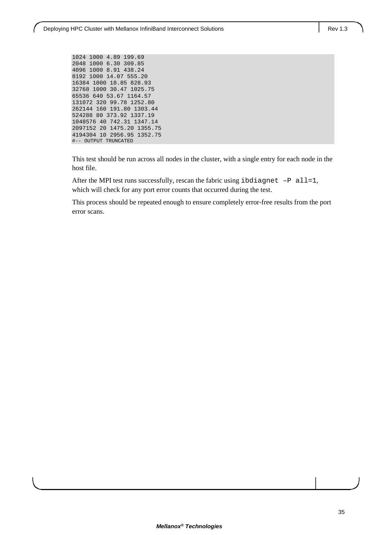1024 1000 4.89 199.69 2048 1000 6.30 309.85 4096 1000 8.91 438.24 8192 1000 14.07 555.20 16384 1000 18.85 828.93 32768 1000 30.47 1025.75 65536 640 53.67 1164.57 131072 320 99.78 1252.80 262144 160 191.80 1303.44 524288 80 373.92 1337.19 1048576 40 742.31 1347.14 2097152 20 1475.20 1355.75 4194304 10 2956.95 1352.75 #-- OUTPUT TRUNCATED

This test should be run across all nodes in the cluster, with a single entry for each node in the host file.

After the MPI test runs successfully, rescan the fabric using ibdiagnet -P all=1, which will check for any port error counts that occurred during the test.

This process should be repeated enough to ensure completely error-free results from the port error scans.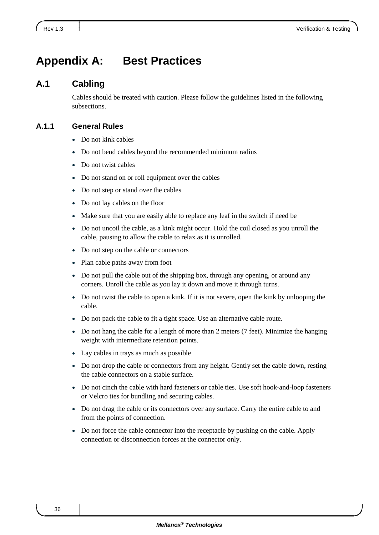# <span id="page-35-1"></span><span id="page-35-0"></span>**A.1 Cabling**

Cables should be treated with caution. Please follow the guidelines listed in the following subsections.

### <span id="page-35-2"></span>**A.1.1 General Rules**

- Do not kink cables
- Do not bend cables beyond the recommended minimum radius
- Do not twist cables
- Do not stand on or roll equipment over the cables
- Do not step or stand over the cables
- Do not lay cables on the floor
- Make sure that you are easily able to replace any leaf in the switch if need be
- Do not uncoil the cable, as a kink might occur. Hold the coil closed as you unroll the cable, pausing to allow the cable to relax as it is unrolled.
- Do not step on the cable or connectors
- Plan cable paths away from foot
- Do not pull the cable out of the shipping box, through any opening, or around any corners. Unroll the cable as you lay it down and move it through turns.
- Do not twist the cable to open a kink. If it is not severe, open the kink by unlooping the cable.
- Do not pack the cable to fit a tight space. Use an alternative cable route.
- Do not hang the cable for a length of more than 2 meters (7 feet). Minimize the hanging weight with intermediate retention points.
- Lay cables in trays as much as possible
- Do not drop the cable or connectors from any height. Gently set the cable down, resting the cable connectors on a stable surface.
- Do not cinch the cable with hard fasteners or cable ties. Use soft hook-and-loop fasteners or Velcro ties for bundling and securing cables.
- Do not drag the cable or its connectors over any surface. Carry the entire cable to and from the points of connection.
- Do not force the cable connector into the receptacle by pushing on the cable. Apply connection or disconnection forces at the connector only.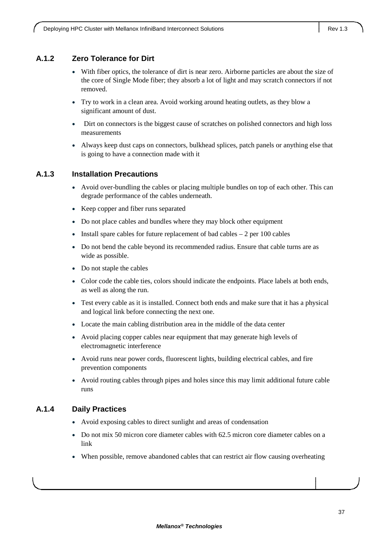### <span id="page-36-0"></span>**A.1.2 Zero Tolerance for Dirt**

- With fiber optics, the tolerance of dirt is near zero. Airborne particles are about the size of the core of Single Mode fiber; they absorb a lot of light and may scratch connectors if not removed.
- Try to work in a clean area. Avoid working around heating outlets, as they blow a significant amount of dust.
- Dirt on connectors is the biggest cause of scratches on polished connectors and high loss measurements
- Always keep dust caps on connectors, bulkhead splices, patch panels or anything else that is going to have a connection made with it

### <span id="page-36-1"></span>**A.1.3 Installation Precautions**

- Avoid over-bundling the cables or placing multiple bundles on top of each other. This can degrade performance of the cables underneath.
- Keep copper and fiber runs separated
- Do not place cables and bundles where they may block other equipment
- Install spare cables for future replacement of bad cables 2 per 100 cables
- Do not bend the cable beyond its recommended radius. Ensure that cable turns are as wide as possible.
- Do not staple the cables
- Color code the cable ties, colors should indicate the endpoints. Place labels at both ends, as well as along the run.
- Test every cable as it is installed. Connect both ends and make sure that it has a physical and logical link before connecting the next one.
- Locate the main cabling distribution area in the middle of the data center
- Avoid placing copper cables near equipment that may generate high levels of electromagnetic interference
- Avoid runs near power cords, fluorescent lights, building electrical cables, and fire prevention components
- Avoid routing cables through pipes and holes since this may limit additional future cable runs

### <span id="page-36-2"></span>**A.1.4 Daily Practices**

- Avoid exposing cables to direct sunlight and areas of condensation
- Do not mix 50 micron core diameter cables with 62.5 micron core diameter cables on a link
- When possible, remove abandoned cables that can restrict air flow causing overheating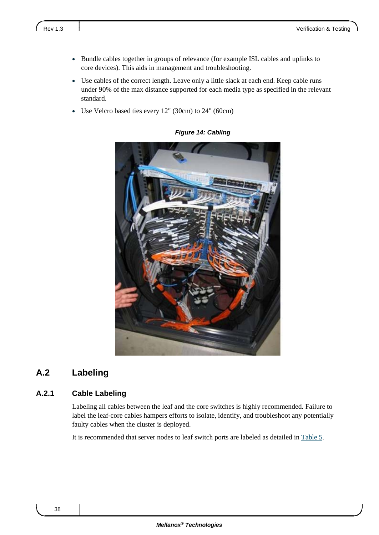- Bundle cables together in groups of relevance (for example ISL cables and uplinks to core devices). This aids in management and troubleshooting.
- Use cables of the correct length. Leave only a little slack at each end. Keep cable runs under 90% of the max distance supported for each media type as specified in the relevant standard.
- <span id="page-37-2"></span>• Use Velcro based ties every 12" (30cm) to 24" (60cm)



### *Figure 14: Cabling*

# <span id="page-37-0"></span>**A.2 Labeling**

### <span id="page-37-1"></span>**A.2.1 Cable Labeling**

Labeling all cables between the leaf and the core switches is highly recommended. Failure to label the leaf-core cables hampers efforts to isolate, identify, and troubleshoot any potentially faulty cables when the cluster is deployed.

It is recommended that server nodes to leaf switch ports are labeled as detailed in [Table 5.](#page-38-1)

38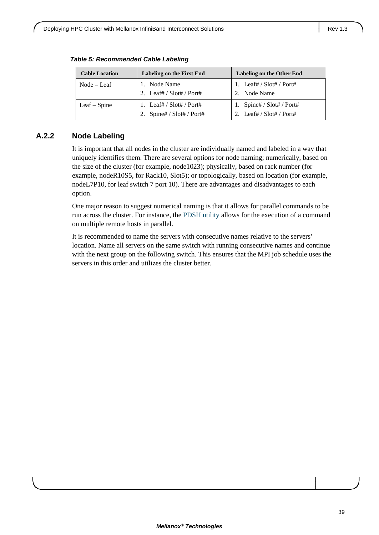| <b>Cable Location</b> | <b>Labeling on the First End</b> | Labeling on the Other End    |
|-----------------------|----------------------------------|------------------------------|
| $Node - Leaf$         | 1. Node Name                     | 1. Leaf# / $Slot#$ / $Port#$ |
|                       | 2. Leaf# / $Slot#$ / $Port#$     | 2. Node Name                 |
| $Leaf - Spine$        | 1. Leaf# / $Slot#$ / $Port#$     | 1. Spine# / Slot# / Port#    |
|                       | 2. Spine# / Slot# / Port#        | 2. Leaf# / $Slot#$ / $Port#$ |

<span id="page-38-1"></span>*Table 5: Recommended Cable Labeling*

### <span id="page-38-0"></span>**A.2.2 Node Labeling**

It is important that all nodes in the cluster are individually named and labeled in a way that uniquely identifies them. There are several options for node naming; numerically, based on the size of the cluster (for example, node1023); physically, based on rack number (for example, nodeR10S5, for Rack10, Slot5); or topologically, based on location (for example, nodeL7P10, for leaf switch 7 port 10). There are advantages and disadvantages to each option.

One major reason to suggest numerical naming is that it allows for parallel commands to be run across the cluster. For instance, the [PDSH utility](http://sourceforge.net/projects/pdsh/) allows for the execution of a command on multiple remote hosts in parallel.

It is recommended to name the servers with consecutive names relative to the servers' location. Name all servers on the same switch with running consecutive names and continue with the next group on the following switch. This ensures that the MPI job schedule uses the servers in this order and utilizes the cluster better.